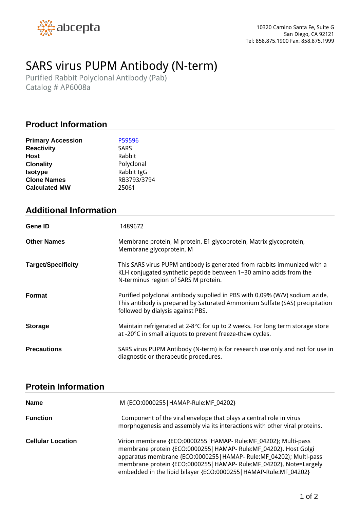

# *SARS virus PUPM Antibody (N-term)*

*Purified Rabbit Polyclonal Antibody (Pab) Catalog # AP6008a*

## **Product Information**

| P59596      |
|-------------|
| <b>SARS</b> |
| Rabbit      |
| Polyclonal  |
| Rabbit IgG  |
| RB3793/3794 |
| 25061       |
|             |

## **Additional Information**

| Gene ID                   | 1489672                                                                                                                                                                                         |
|---------------------------|-------------------------------------------------------------------------------------------------------------------------------------------------------------------------------------------------|
| <b>Other Names</b>        | Membrane protein, M protein, E1 glycoprotein, Matrix glycoprotein,<br>Membrane glycoprotein, M                                                                                                  |
| <b>Target/Specificity</b> | This SARS virus PUPM antibody is generated from rabbits immunized with a<br>KLH conjugated synthetic peptide between 1~30 amino acids from the<br>N-terminus region of SARS M protein.          |
| <b>Format</b>             | Purified polyclonal antibody supplied in PBS with 0.09% (W/V) sodium azide.<br>This antibody is prepared by Saturated Ammonium Sulfate (SAS) precipitation<br>followed by dialysis against PBS. |
| <b>Storage</b>            | Maintain refrigerated at 2-8°C for up to 2 weeks. For long term storage store<br>at -20°C in small aliquots to prevent freeze-thaw cycles.                                                      |
| <b>Precautions</b>        | SARS virus PUPM Antibody (N-term) is for research use only and not for use in<br>diagnostic or therapeutic procedures.                                                                          |

#### **Protein Information**

| <b>Name</b>              | M {ECO:0000255   HAMAP-Rule:MF 04202}                                                                                                                                                                                                                                                                                                                    |
|--------------------------|----------------------------------------------------------------------------------------------------------------------------------------------------------------------------------------------------------------------------------------------------------------------------------------------------------------------------------------------------------|
| <b>Function</b>          | Component of the viral envelope that plays a central role in virus<br>morphogenesis and assembly via its interactions with other viral proteins.                                                                                                                                                                                                         |
| <b>Cellular Location</b> | Virion membrane {ECO:0000255   HAMAP- Rule:MF_04202}; Multi-pass<br>membrane protein {ECO:0000255   HAMAP- Rule:MF_04202}. Host Golgi<br>apparatus membrane {ECO:0000255   HAMAP- Rule:MF_04202}; Multi-pass<br>membrane protein {ECO:0000255   HAMAP- Rule:MF_04202}. Note=Largely<br>embedded in the lipid bilayer {ECO:0000255   HAMAP-Rule:MF_04202} |